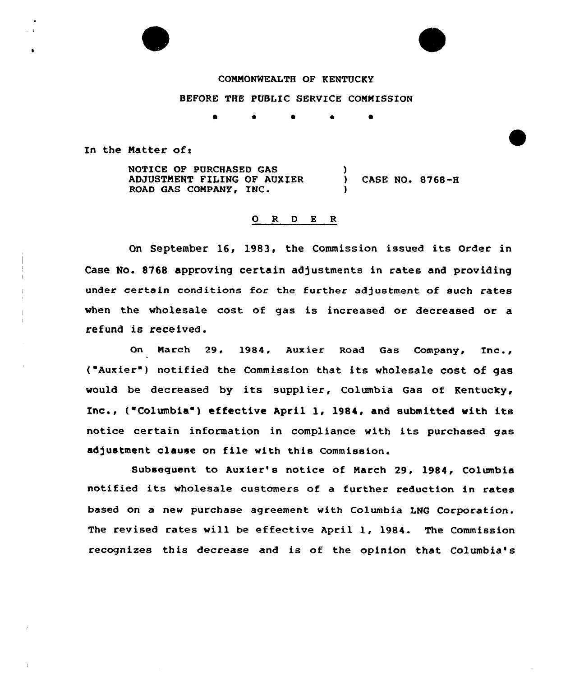## COMMONWEALTH OF KENTVCKY

## BEFORE THE PUBLIC SERVICE CONMISSION

0 \* 0 4 0

In the Matter of:

NOTICE OF PURCHASED GAS ADJUSTMENT FILING OF AVXIER ROAD GAS COMPANY, INC.  $\mathbf{I}$ ) CASE NO. 8768-8 )

### 0 R <sup>D</sup> E R

On September 16, 1983, the Commission issued its Order in Case No. 8768 approving certain adjustments in rates and providing under certain conditions for the further adjustment of such rates when the wholesale cost of gas is increased or decreased or a refund is received.

On March 29, 1984, Aux ier Road Gas Company, Inc., ("Auxier") notified the Commission that its wholesale cost of gas would be decreased by its supplier, Columbia Gas of Kentucky, Inc., ("Columbia" ) effective April 1, 1984, and submitted with its notice certain information in compliance with its purchased gas adjustment clause on file with this Commission.

Subsequent to Auxier's notice of March 29, 1984, Columbia notified its wholesale customers of a further reduction in rates based on a new purchase agreement with Columbia LNG Corporation. The revised rates will be effective April 1, 1984. The Commission recognizes this decrease and is of the opinion that Columbia'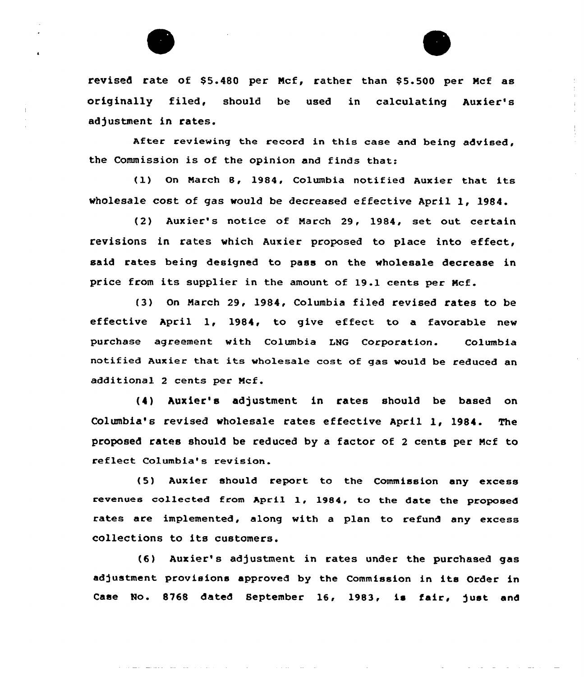

revised rate of \$5.480 per Mcf, rather than \$5.500 per Mcf as originally filed, should be used in calculating Auxier's adjustment in rates.

After reviewing the record in this case and being advised, the Commission is of the opinion and finds that:

(1) On March 8, 1984, Columbia notified Auxier that its wholesale cost of gas would be decreased effective April 1, 1984.

(2) Auxier's notice of Narch 29, 1984, set out certain revisions in rates which Auxier proposed to place into effect, said rates being designed to pass on the wholesale decrease in price from its supplier in the amount of 19.1 cents per Ncf.

(3) On Narch 29, 1984, Columbia filed revised rates to be effective April 1, 1984, to give effect to a favorable new purchase agreement with Columbia LNG Corporation. Columbia notified Auxier that its wholesale cost of gas would be reduced an additional 2 cents per Ncf.

(4) Auxier's adjustment in rates should be based on Columbia's revised wholesale rates effective April 1, 1984. The proposed rates should be reduced by a factor of <sup>2</sup> cents per Ncf to reflect Columbia's revision.

(5) Auxier should report to the Commission any excess revenues collected from April 1, 1984, to the date the proposed rates are implemented, along with a plan to refund any excess collections to its customers.

(6) Auxier's adjustment in rates under the purchased gas adjustment provisions approved by the Commission in its Order in Case No. 8768 dated September 16, 1983, is fair, )ust and

المنافس المنافس المنافس المنافس المنافس المنافس المنافس المنافس المنافس المنافس المنافس المنافس المنافس المنافس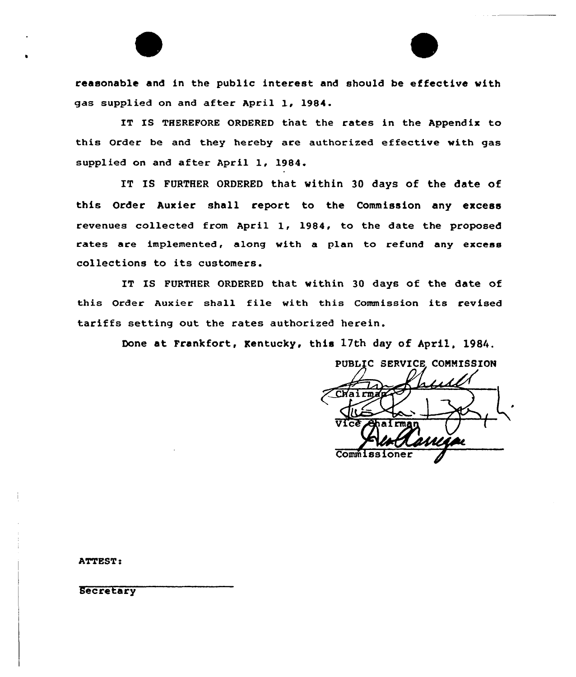reasonable and in the public interest and should be effective with gas supplied on and after April 1, 1984.

IT IS THEREPORE ORDERED tnat the rates in the Appendix to this Order be and they hereby are authorized effective with gas supplied on and after April 1, 1984.

IT IS FURTHER ORDERED that within 30 days of the date of this Order Auxier shall report to the Commission any excess revenues collected from April 1, 1984, to the date the proposed rates are implemented, along with a plan to refund any excess collections to its customers.

IT IS FURTHER ORDERED that within 30 days of the date of this Order Auxier shall file with this Commission its revised tariffs setting out the rates authorized herein.

Done at Frankfort, Kentucky, this 17th day of April, 1984.

PUBLIC SERVICE COMMISSION Chairma Commiss

**ATTEST:** 

**Secretary**